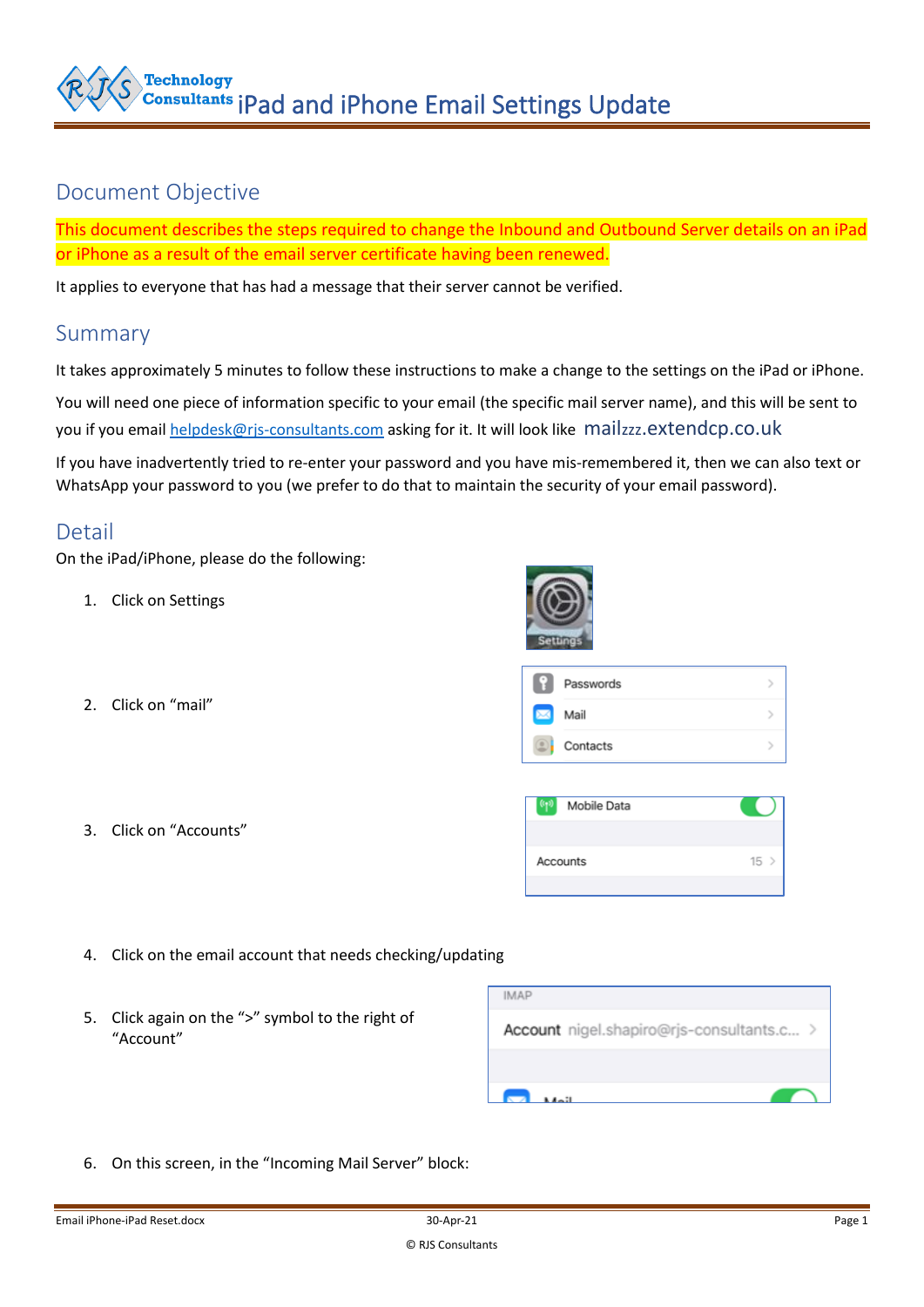

## Document Objective

This document describes the steps required to change the Inbound and Outbound Server details on an iPad or iPhone as a result of the email server certificate having been renewed.

It applies to everyone that has had a message that their server cannot be verified.

## Summary

It takes approximately 5 minutes to follow these instructions to make a change to the settings on the iPad or iPhone. You will need one piece of information specific to your email (the specific mail server name), and this will be sent to you if you emai[l helpdesk@rjs-consultants.com](mailto:helpdesk@rjs-consultants.com) asking for it. It will look like mailzzz.extendcp.co.uk

If you have inadvertently tried to re-enter your password and you have mis-remembered it, then we can also text or WhatsApp your password to you (we prefer to do that to maintain the security of your email password).

## Detail

On the iPad/iPhone, please do the following:

- 1. Click on Settings
- 2. Click on "mail"
	-
- 3. Click on "Accounts"



|   | Passwords |  |
|---|-----------|--|
| Ø | Mail      |  |
|   | Contacts  |  |

| $\left( \mathbf{q} \right)$<br>Mobile Data |    |
|--------------------------------------------|----|
|                                            |    |
| Accounts                                   | 15 |
|                                            |    |

- 4. Click on the email account that needs checking/updating
- 5. Click again on the ">" symbol to the right of "Account"

| <b>IMAP</b>                               |
|-------------------------------------------|
| Account nigel.shapiro@rjs-consultants.c > |
|                                           |
| $1.4 - 11$                                |

6. On this screen, in the "Incoming Mail Server" block: